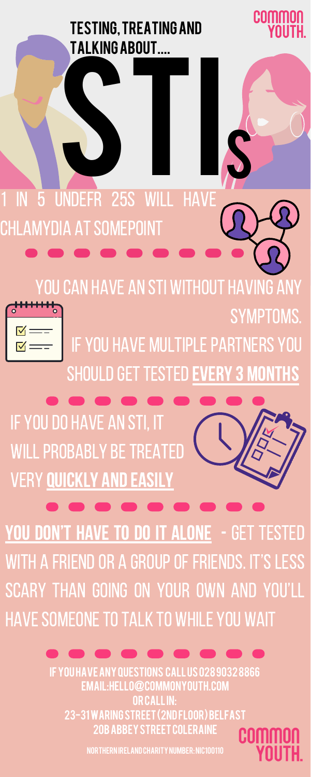#### **TESTING, TREATING AND TALKING ABOUT....**



YOU CAN HAVE AN STI WITHOUT HAVING ANY



IF YOU HAVE MULTIPLE PARTNERS YOU SHOULD GET TESTED EVERY 3 MONTHS



23-31 WARING STREET (2ND FLOOR) BELFAST **20B ABBEY STREET COLERAINE** 

COMMO YOUTH.

**SYMPTOMS.** 

NORTHERN IRELAND CHARITY NUMBER: NIC100110